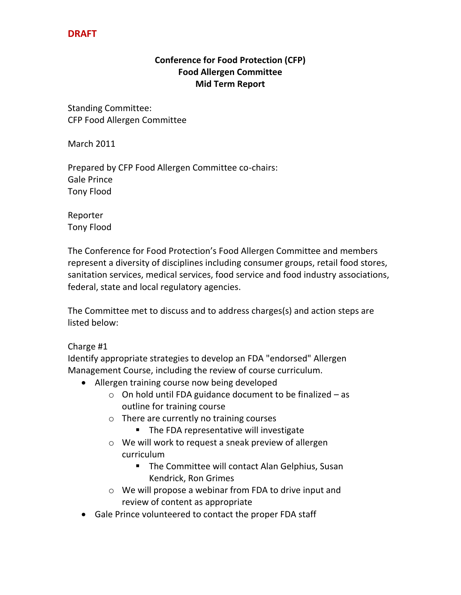# **DRAFT**

### **Conference for Food Protection (CFP) Food Allergen Committee Mid Term Report**

Standing Committee: CFP Food Allergen Committee

March 2011

Prepared by CFP Food Allergen Committee co-chairs: Gale Prince Tony Flood

Reporter Tony Flood

The Conference for Food Protection's Food Allergen Committee and members represent a diversity of disciplines including consumer groups, retail food stores, sanitation services, medical services, food service and food industry associations, federal, state and local regulatory agencies.

The Committee met to discuss and to address charges(s) and action steps are listed below:

### Charge #1

Identify appropriate strategies to develop an FDA "endorsed" Allergen Management Course, including the review of course curriculum.

- Allergen training course now being developed
	- $\circ$  On hold until FDA guidance document to be finalized as outline for training course
	- o There are currently no training courses
		- **The FDA representative will investigate**
	- o We will work to request a sneak preview of allergen curriculum
		- **The Committee will contact Alan Gelphius, Susan** Kendrick, Ron Grimes
	- o We will propose a webinar from FDA to drive input and review of content as appropriate
- Gale Prince volunteered to contact the proper FDA staff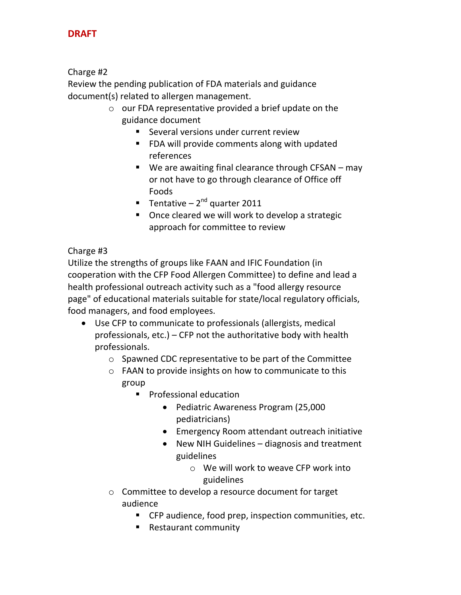# **DRAFT**

### Charge #2

Review the pending publication of FDA materials and guidance document(s) related to allergen management.

- o our FDA representative provided a brief update on the guidance document
	- **Several versions under current review**
	- FDA will provide comments along with updated references
	- We are awaiting final clearance through CFSAN may or not have to go through clearance of Office off Foods
	- **Tentative 2<sup>nd</sup> quarter 2011**
	- **DearF** Once cleared we will work to develop a strategic approach for committee to review

### Charge #3

Utilize the strengths of groups like FAAN and IFIC Foundation (in cooperation with the CFP Food Allergen Committee) to define and lead a health professional outreach activity such as a "food allergy resource page" of educational materials suitable for state/local regulatory officials, food managers, and food employees.

- Use CFP to communicate to professionals (allergists, medical professionals, etc.) – CFP not the authoritative body with health professionals.
	- o Spawned CDC representative to be part of the Committee
	- o FAAN to provide insights on how to communicate to this group
		- **Professional education** 
			- Pediatric Awareness Program (25,000 pediatricians)
			- Emergency Room attendant outreach initiative
			- New NIH Guidelines diagnosis and treatment guidelines
				- o We will work to weave CFP work into guidelines
	- o Committee to develop a resource document for target audience
		- CFP audience, food prep, inspection communities, etc.
		- Restaurant community